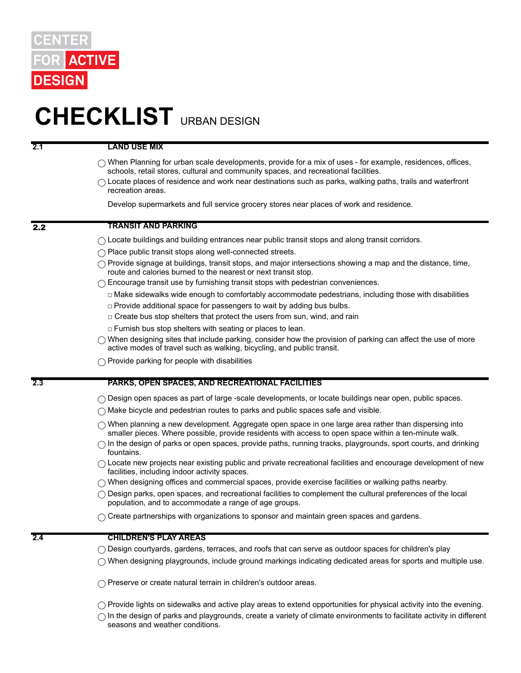

# **CHECKLIST** URBAN DESIGN

**2.1 LAND USE MIX**

- $\bigcirc$  When Planning for urban scale developments, provide for a mix of uses for example, residences, offices, schools, retail stores, cultural and community spaces, and recreational facilities.
- $\bigcap$  Locate places of residence and work near destinations such as parks, walking paths, trails and waterfront recreation areas.

Develop supermarkets and full service grocery stores near places of work and residence.

## 2.2 **TRANSIT AND PARKING**

- $\bigcirc$  Locate buildings and building entrances near public transit stops and along transit corridors.
- ◯ Place public transit stops along well-connected streets.
- $\bigcap$  Provide signage at buildings, transit stops, and major intersections showing a map and the distance, time, route and calories burned to the nearest or next transit stop.
- $\bigcirc$  Encourage transit use by furnishing transit stops with pedestrian conveniences.
	- □ Make sidewalks wide enough to comfortably accommodate pedestrians, including those with disabilities
	- $\Box$  Provide additional space for passengers to wait by adding bus bulbs.
	- □ Create bus stop shelters that protect the users from sun, wind, and rain
	- $\Box$  Furnish bus stop shelters with seating or places to lean.
- $\bigcirc$  When designing sites that include parking, consider how the provision of parking can affect the use of more active modes of travel such as walking, bicycling, and public transit.
- $\bigcap$  Provide parking for people with disabilities

#### **2.3 PARKS, OPEN SPACES, AND RECREATIONAL FACILITIES**

- $\bigcirc$  Design open spaces as part of large -scale developments, or locate buildings near open, public spaces.
- $\bigcap$  Make bicycle and pedestrian routes to parks and public spaces safe and visible.
- $\bigcirc$  When planning a new development. Aggregate open space in one large area rather than dispersing into smaller pieces. Where possible, provide residents with access to open space within a ten-minute walk.
- $\bigcap$  In the design of parks or open spaces, provide paths, running tracks, playgrounds, sport courts, and drinking fountains.
- $\bigcirc$  Locate new projects near existing public and private recreational facilities and encourage development of new facilities, including indoor activity spaces.
- $\bigcirc$  When designing offices and commercial spaces, provide exercise facilities or walking paths nearby.
- $\bigcirc$  Design parks, open spaces, and recreational facilities to complement the cultural preferences of the local population, and to accommodate a range of age groups.
- $\bigcirc$  Create partnerships with organizations to sponsor and maintain green spaces and gardens.

# **2.4 CHILDREN'S PLAY AREAS**

- $\bigcirc$  Design courtyards, gardens, terraces, and roofs that can serve as outdoor spaces for children's play
- $\bigcirc$  When designing playgrounds, include ground markings indicating dedicated areas for sports and multiple use.

◯ Preserve or create natural terrain in children's outdoor areas.

 $\bigcirc$  Provide lights on sidewalks and active play areas to extend opportunities for physical activity into the evening.  $\bigcap$  In the design of parks and playgrounds, create a variety of climate environments to facilitate activity in different seasons and weather conditions.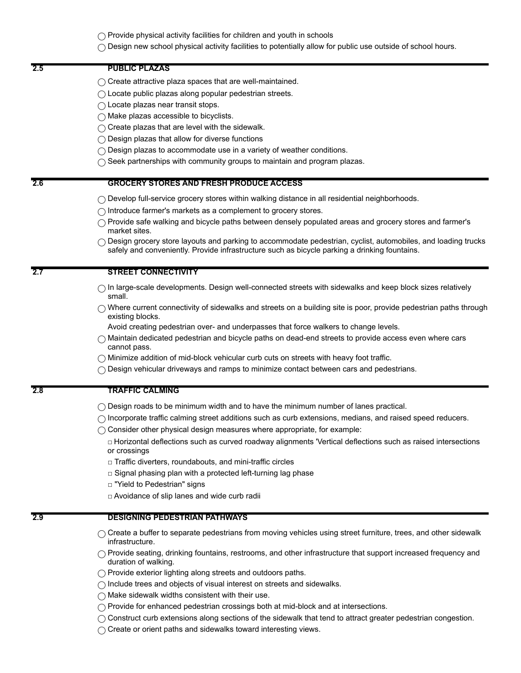$\bigcap$  Provide physical activity facilities for children and youth in schools

 $\bigcirc$  Design new school physical activity facilities to potentially allow for public use outside of school hours.

#### **2.5 PUBLIC PLAZAS**

- $\bigcirc$  Create attractive plaza spaces that are well-maintained.
- $\bigcirc$  Locate public plazas along popular pedestrian streets.
- $\bigcap$  Locate plazas near transit stops.
- $\bigcap$  Make plazas accessible to bicyclists.
- $\bigcap$  Create plazas that are level with the sidewalk.
- $\bigcap$  Design plazas that allow for diverse functions
- $\bigcirc$  Design plazas to accommodate use in a variety of weather conditions.
- $\bigcirc$  Seek partnerships with community groups to maintain and program plazas.

## **2.6 GROCERY STORES AND FRESH PRODUCE ACCESS**

- $\bigcirc$  Develop full-service grocery stores within walking distance in all residential neighborhoods.
- ◯ Introduce farmer's markets as a complement to grocery stores.
- $\bigcap$  Provide safe walking and bicycle paths between densely populated areas and grocery stores and farmer's market sites.
- $\bigcirc$  Design grocery store layouts and parking to accommodate pedestrian, cyclist, automobiles, and loading trucks safely and conveniently. Provide infrastructure such as bicycle parking a drinking fountains.

#### **2.7 STREET CONNECTIVITY**

- $\bigcap$  In large-scale developments. Design well-connected streets with sidewalks and keep block sizes relatively small.
- $\bigcirc$  Where current connectivity of sidewalks and streets on a building site is poor, provide pedestrian paths through existing blocks.
	- Avoid creating pedestrian over- and underpasses that force walkers to change levels.
- $\bigcirc$  Maintain dedicated pedestrian and bicycle paths on dead-end streets to provide access even where cars cannot pass.
- $\bigcirc$  Minimize addition of mid-block vehicular curb cuts on streets with heavy foot traffic.
- $\bigcirc$  Design vehicular driveways and ramps to minimize contact between cars and pedestrians.

#### **2.8 TRAFFIC CALMING**

- $\bigcirc$  Design roads to be minimum width and to have the minimum number of lanes practical.
- $\bigcap$  Incorporate traffic calming street additions such as curb extensions, medians, and raised speed reducers.
- $\bigcirc$  Consider other physical design measures where appropriate, for example:
	- □ Horizontal deflections such as curved roadway alignments 'Vertical deflections such as raised intersections or crossings
	- □ Traffic diverters, roundabouts, and mini-traffic circles
	- $\square$  Signal phasing plan with a protected left-turning lag phase
	- □ "Yield to Pedestrian" signs
	- □ Avoidance of slip lanes and wide curb radii

#### **2.9 DESIGNING PEDESTRIAN PATHWAYS**

- $\bigcirc$  Create a buffer to separate pedestrians from moving vehicles using street furniture, trees, and other sidewalk infrastructure.
- $\bigcap$  Provide seating, drinking fountains, restrooms, and other infrastructure that support increased frequency and duration of walking.
- $\bigcirc$  Provide exterior lighting along streets and outdoors paths.
- ◯ Include trees and objects of visual interest on streets and sidewalks.
- $\bigcap$  Make sidewalk widths consistent with their use.
- ◯ Provide for enhanced pedestrian crossings both at mid-block and at intersections.
- $\bigcirc$  Construct curb extensions along sections of the sidewalk that tend to attract greater pedestrian congestion.
- ◯ Create or orient paths and sidewalks toward interesting views.